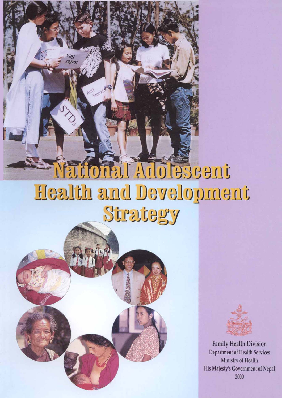# **Safonal Adolescent** Health and Development Strategy



**X**as

Sm



**Family Health Division** Department of Health Services Ministry of Health His Majesty's Government of Nepal 2000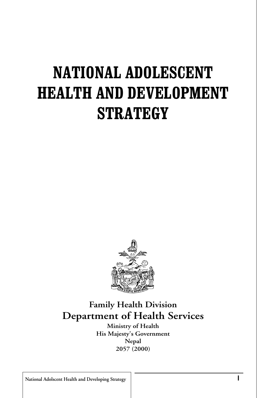### **NATIONAL ADOLESCENT HEALTH AND DEVELOPMENT STRATEGY**



#### **Family Health Division Department of Health Services**

**Ministry of Health His Majesty's Government Nepal 2057 (2000)**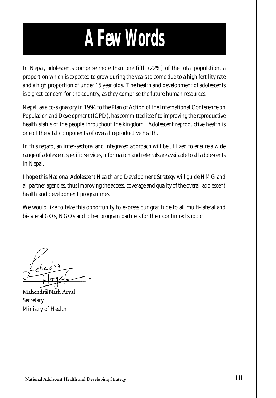# *A Few Words*

In Nepal, adolescents comprise more than one fifth (22%) of the total population, a proportion which is expected to grow during the years to come due to a high fertility rate and a high proportion of under 15 year olds. The health and development of adolescents is a great concern for the country, as they comprise the future human resources.

Nepal, as a co-signatory in 1994 to the Plan of Action of the International Conference on Population and Development (ICPD), has committed itself to improving the reproductive health status of the people throughout the kingdom. Adolescent reproductive health is one of the vital components of overall reproductive health.

In this regard, an inter-sectoral and integrated approach will be utilized to ensure a wide range of adolescent specific services, information and referrals are available to all adolescents in Nepal.

I hope this National Adolescent Health and Development Strategy will guide HMG and all partner agencies, thus improving the access, coverage and quality of the overall adolescent health and development programmes.

We would like to take this opportunity to express our gratitude to all multi-lateral and bi-lateral GOs, NGOs and other program partners for their continued support.

**Mahendra Nath Aryal Secretary** Ministry of Health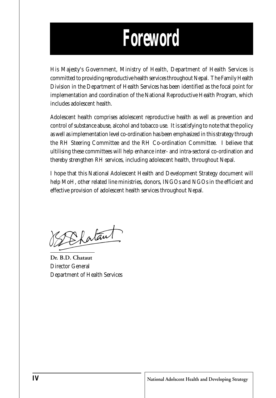### *Foreword*

His Majesty's Government, Ministry of Health, Department of Health Services is committed to providing reproductive health services throughout Nepal. The Family Health Division in the Department of Health Services has been identified as the focal point for implementation and coordination of the National Reproductive Health Program, which includes adolescent health.

Adolescent health comprises adolescent reproductive health as well as prevention and control of substance abuse, alcohol and tobacco use. It is satisfying to note that the policy as well as implementation level co-ordination has been emphasized in this strategy through the RH Steering Committee and the RH Co-ordination Committee. I believe that ultilising these committees will help enhance inter- and intra-sectoral co-ordination and thereby strengthen RH services, including adolescent health, throughout Nepal.

I hope that this National Adolescent Health and Development Strategy document will help MoH, other related line ministries, donors, INGOs and NGOs in the efficient and effective provision of adolescent health services throughout Nepal.

DEfataut

**Dr. B.D. Chataut** Director General Department of Health Services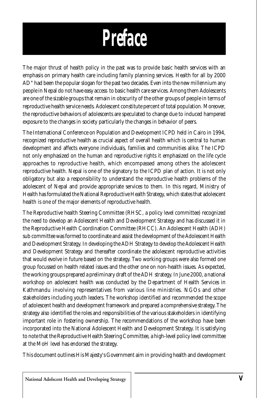

The major thrust of health policy in the past was to provide basic health services with an emphasis on primary health care including family planning services. Health for all by 2000 AD" had been the popular slogan for the past two decades. Even into the new millennium any people in Nepal do not have easy access to basic health care services. Among them Adolescents are one of the sizable groups that remain in obscurity of the other groups of people in terms of reproductive health service needs. Adolescent constitute percent of total population. Moreover, the reproductive behaviors of adolescents are speculated to change due to induced hampered exposure to the changes in society particularly the changes in behavior of peers.

The International Conference on Population and Development ICPD held in Cairo in 1994, recognized reproductive health as crucial aspect of overall health which is central to human development and affects everyone individuals, families and communities alike. The ICPD not only emphasized on the human and reproductive rights it emphasized on the life cycle approaches to reproductive health, which encompassed among others the adolescent reproductive health. Nepal is one of the signatory to the ICPD plan of action. It is not only obligatory but also a responsibility to understand the reproductive health problems of the adolescent of Nepal and provide appropriate services to them. In this regard, Ministry of Health has formulated the National Reproductive Health Strategy, which states that adolescent health is one of the major elements of reproductive health.

The Reproductive health Steering Committee (RHSC, a policy level committee) recognized the need to develop an Adolescent Health and Development Strategy and has discussed it in the Reproductive Health Coordination Committee (RHCC). An Adolescent Health (ADH) sub committee was formed to coordinate and assist the development of the Adolescent Health and Development Strategy. In developing the ADH Strategy to develop the Adolescent Health and Development Strategy and thereafter coordinate the adolescent reproductive activities that would evolve in future based on the strategy. Two working groups were also formed one group focussed on health related issues and the other one on non-health issues. As expected, the working groups prepared a preliminary draft of the ADH strategy. In June 2000, a national workshop on adolescent health was conducted by the Department of Health Services in Kathmandu involving representatives from various line ministries. NGOs and other stakeholders including youth leaders. The workshop identified and recommended the scope of adolescent health and development framework and prepared a comprehensive strategy. The strategy also identified the roles and responsibilities of the various stakeholders in identifying important role in fostering ownership. The recommendations of the workshop have been incorporated into the National Adolescent Health and Development Strategy. It is satisfying to note that the Reproductive Health Steering Committee, a high-level policy level committee at the MoH level has endorsed the strategy.

This document outlines His Majesty's Government aim in providing health and development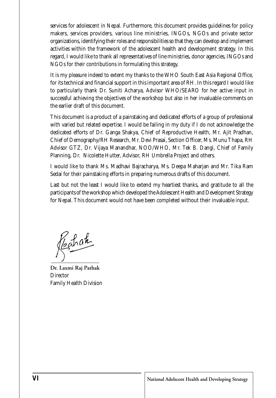services for adolescent in Nepal. Furthermore, this document provides guidelines for policy makers, services providers, various line ministries, INGOs, NGOs and private sector organizations, identifying their roles and responsibilities so that they can develop and implement activities within the framework of the adolescent health and development strategy. In this regard, I would like to thank all representatives of line ministries, donor agencies, INGOs and NGOs for their contributions in formulating this strategy.

It is my pleasure indeed to extent my thanks to the WHO South East Asia Regional Office, for its technical and financial support in this important area of RH. In this regard I would like to particularly thank Dr. Suniti Acharya, Advisor WHO/SEARO for her active input in successful achieving the objectives of the workshop but also in her invaluable comments on the earlier draft of this document.

This document is a product of a painstaking and dedicated efforts of a group of professional with varied but related expertise. I would be failing in my duty if I do not acknowledge the dedicated efforts of Dr. Ganga Shakya, Chief of Reproductive Health, Mr. Ajit Pradhan, Chief of Demography/RH Research, Mr. Devi Prasai, Section Officer, Ms. Munu Thapa, RH Advisor GTZ, Dr. Vijaya Manandhar, NOO/WHO, Mr. Tek B. Dangi, Chief of Family Planning, Dr. Nicolette Hutter, Advisor, RH Umbrella Project and others.

I would like to thank Ms. Madhavi Bajracharya, Ms. Deepa Maharjan and Mr. Tika Ram Sedai for their painstaking efforts in preparing numerous drafts of this document.

Last but not the least I would like to extend my heartiest thanks, and gratitude to all the participants of the workshop which developed the Adolescent Health and Development Strategy for Nepal. This document would not have been completed without their invaluable input.

Restat

**Dr. Laxmi Raj Pathak Director** Family Health Division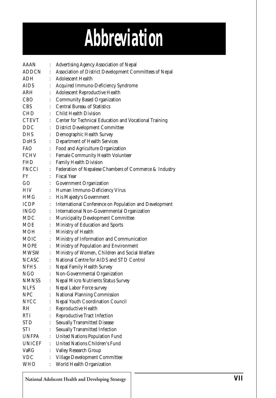# *Abbreviation*

| AAAN         |                      | Advertising Agency Association of Nepal                 |  |  |
|--------------|----------------------|---------------------------------------------------------|--|--|
| ADDCN        | ÷                    | Association of District Development Committees of Nepal |  |  |
| ADH          |                      | <b>Adolescent Health</b>                                |  |  |
| AIDS         |                      | Acquired Immuno-Deficiency Syndrome                     |  |  |
| ARH          | $\ddot{\cdot}$       | Adolescent Reproductive Health                          |  |  |
| CBO          | $\ddot{\cdot}$       | <b>Community Based Organization</b>                     |  |  |
| CBS          |                      | <b>Central Bureau of Statistics</b>                     |  |  |
| CHD          |                      | Child Health Division                                   |  |  |
| CTEVT        |                      | Center for Technical Education and Vocational Training  |  |  |
| DDC          | ÷                    | <b>District Development Committee</b>                   |  |  |
| DHS          | $\ddot{\cdot}$       | Demographic Health Survey                               |  |  |
| DoHS         | $\ddot{\cdot}$       | Department of Health Services                           |  |  |
| <b>FAO</b>   | $\ddot{\cdot}$       | Food and Agriculture Organization                       |  |  |
| FCHV         | $\vdots$             | Female Community Health Volunteer                       |  |  |
| FHD          | $\ddot{\cdot}$       | Family Health Division                                  |  |  |
| FNCCI        | $\ddot{\cdot}$       | Federation of Nepalese Chambers of Commerce & Industry  |  |  |
| FY.          |                      | <b>Fiscal Year</b>                                      |  |  |
| GO           |                      | Government Organization                                 |  |  |
| HIV-         | $\vdots$             | Human Immuno-Deficiency Virus                           |  |  |
| HMG.         | $\vdots$             | His Majesty's Government                                |  |  |
| <b>ICDP</b>  | $\ddot{\cdot}$       | International Conference on Population and Development  |  |  |
| INGO         | $\ddot{\cdot}$       | International Non-Governmental Organization             |  |  |
| MDC          | $\vdots$             | Municipality Development Committee                      |  |  |
| MOE          | $\ddot{\cdot}$       | Ministry of Education and Sports                        |  |  |
| MOH          | t                    | Ministry of Health                                      |  |  |
| MOIC         | t                    | Ministry of Information and Communication               |  |  |
| MOPE         | t                    | Ministry of Population and Environment                  |  |  |
| MWSW         | $\ddot{\cdot}$       | Ministry of Women, Children and Social Welfare          |  |  |
| <b>NCASC</b> | $\ddot{\cdot}$       | National Centre for AIDS and STD Control                |  |  |
| <b>NFHS</b>  |                      | Nepal Family Health Survey                              |  |  |
| <b>NGO</b>   | $\vdots$             | Non-Governmental Organization                           |  |  |
| <b>NMNSS</b> | $\ddot{\cdot}$       | Nepal Micro Nutrients Status Survey                     |  |  |
| <b>NLFS</b>  | $\vdots$             | Nepal Labor Force survey                                |  |  |
| <b>NPC</b>   |                      | National Planning Commission                            |  |  |
| <b>NYCC</b>  | $\ddot{\cdot}$       | Nepal Youth Coordination Council                        |  |  |
| RH           | ÷                    | Reproductive Health                                     |  |  |
| RTI          |                      | <b>Reproductive Tract Infection</b>                     |  |  |
| STD          | $\ddot{\cdot}$       | <b>Sexually Transmitted Disease</b>                     |  |  |
| STI          |                      | <b>Sexually Transmitted Infection</b>                   |  |  |
| <b>UNFPA</b> |                      | <b>United Nations Population Fund</b>                   |  |  |
| UNICEF       | $\ddot{\phantom{a}}$ | United Nations Children's Fund                          |  |  |
| VaRG         | $\ddot{\cdot}$       | Valley Research Group                                   |  |  |
| <b>VDC</b>   |                      | Village Development Committee                           |  |  |
| WHO          |                      | World Health Organization                               |  |  |

**National Adolscent Health and Developing Strategy**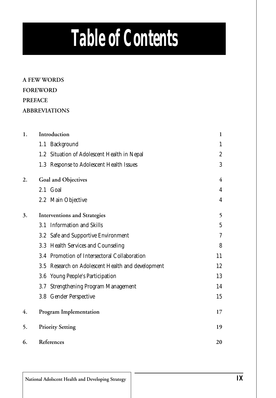# *Table of Contents*

**A FEW WORDS FOREWORD PREFACE ABBREVIATIONS**

| 1. | Introduction                                      |    |  |
|----|---------------------------------------------------|----|--|
|    | 1.1 Background                                    | 1  |  |
|    | 1.2 Situation of Adolescent Health in Nepal       | 2  |  |
|    | 1.3 Response to Adolescent Health Issues          | 3  |  |
| 2. | Goal and Objectives                               | 4  |  |
|    | 2.1 Goal                                          | 4  |  |
|    | 2.2 Main Objective                                | 4  |  |
| 3. | <b>Interventions and Strategies</b>               | 5  |  |
|    | 3.1 Information and Skills                        | 5  |  |
|    | 3.2 Safe and Supportive Environment               | 7  |  |
|    | 3.3 Health Services and Counseling                | 8  |  |
|    | 3.4 Promotion of Intersectoral Collaboration      | 11 |  |
|    | 3.5 Research on Adolescent Health and development | 12 |  |
|    | Young People's Participation<br>$3.6\,$           | 13 |  |
|    | <b>Strengthening Program Management</b><br>3.7    | 14 |  |
|    | 3.8 Gender Perspective                            | 15 |  |
| 4. | <b>Program Implementation</b>                     | 17 |  |
| 5. | <b>Priority Setting</b>                           | 19 |  |
| 6. | References                                        | 20 |  |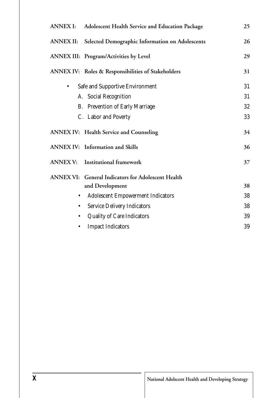| ANNEX I: Adolescent Health Service and Education Package  |    |  |  |  |
|-----------------------------------------------------------|----|--|--|--|
| ANNEX II: Selected Demographic Information on Adolescents | 26 |  |  |  |
| ANNEX III: Program/Activities by Level                    | 29 |  |  |  |
| ANNEX IV: Roles & Responsibilities of Stakeholders        | 31 |  |  |  |
| Safe and Supportive Environment<br>$\bullet$              | 31 |  |  |  |
| A. Social Recognition                                     | 31 |  |  |  |
| B. Prevention of Early Marriage                           | 32 |  |  |  |
| C. Labor and Poverty                                      | 33 |  |  |  |
| <b>ANNEX IV:</b> Health Service and Counseling            | 34 |  |  |  |
| <b>ANNEX IV:</b> Information and Skills                   | 36 |  |  |  |
| ANNEX V: Institutional framework                          | 37 |  |  |  |
| ANNEX VI: General Indicators for Adolescent Health        |    |  |  |  |
| and Development                                           | 38 |  |  |  |
| <b>Adolescent Empowerment Indicators</b><br>$\bullet$     | 38 |  |  |  |
| <b>Service Delivery Indicators</b><br>٠                   | 38 |  |  |  |
| <b>Quality of Care Indicators</b><br>٠                    | 39 |  |  |  |
| <b>Impact Indicators</b>                                  | 39 |  |  |  |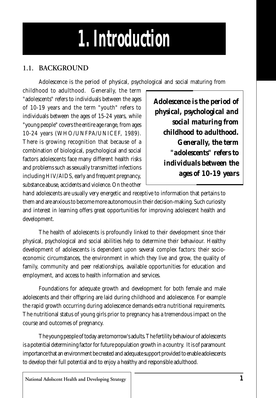# *1. Introduction*

#### **1.1. BACKGROUND**

Adolescence is the period of physical, psychological and social maturing from

childhood to adulthood. Generally, the term "adolescents" refers to individuals between the ages of 10-19 years and the term "youth" refers to individuals between the ages of 15-24 years, while "young people" covers the entire age range, from ages 10-24 years (WHO/UNFPA/UNICEF, 1989). There is growing recognition that because of a combination of biological, psychological and social factors adolescents face many different health risks and problems such as sexually transmitted infections including HIV/AIDS, early and frequent pregnancy, substance abuse, accidents and violence. On the other

*Adolescence is the period of physical, psychological and social maturing from childhood to adulthood. Generally, the term "adolescents" refers to individuals between the ages of 10-19 years*

hand adolescents are usually very energetic and receptive to information that pertains to them and are anxious to become more autonomous in their decision-making. Such curiosity and interest in learning offers great opportunities for improving adolescent health and development.

The health of adolescents is profoundly linked to their development since their physical, psychological and social abilities help to determine their behaviour. Healthy development of adolescents is dependent upon several complex factors: their socioeconomic circumstances, the environment in which they live and grow, the quality of family, community and peer relationships, available opportunities for education and employment, and access to health information and services.

Foundations for adequate growth and development for both female and male adolescents and their offspring are laid during childhood and adolescence. For example the rapid growth occurring during adolescence demands extra nutritional requirements. The nutritional status of young girls prior to pregnancy has a tremendous impact on the course and outcomes of pregnancy.

The young people of today are tomorrow's adults. The fertility behaviour of adolescents is a potential determining factor for future population growth in a country. It is of paramount importance that an environment be created and adequate support provided to enable adolescents to develop their full potential and to enjoy a healthy and responsible adulthood.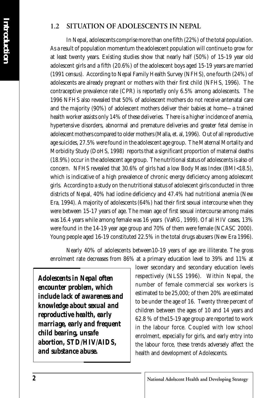#### **1.2 SITUATION OF ADOLESCENTS IN NEPAL**

In Nepal, adolescents comprise more than one fifth (22%) of the total population. As a result of population momentum the adolescent population will continue to grow for at least twenty years. Existing studies show that nearly half (50%) of 15-19 year old adolescent girls and a fifth (20.6%) of the adolescent boys aged 15-19 years are married (1991 census). According to Nepal Family Health Survey (NFHS), one fourth (24%) of adolescents are already pregnant or mothers with their first child (NFHS, 1996). The contraceptive prevalence rate (CPR) is reportedly only 6.5% among adolescents. The 1996 NFHS also revealed that 50% of adolescent mothers do not receive antenatal care and the majority (90%) of adolescent mothers deliver their babies at home—a trained health worker assists only 14% of these deliveries. There is a higher incidence of anemia, hypertensive disorders, abnormal and premature deliveries and greater fetal demise in adolescent mothers compared to older mothers (Malla, et. al, 1996). Out of all reproductive age suicides, 27.5% were found in the adolescent age group. The Maternal Mortality and Morbidity Study (DoHS, 1998) reports that a significant proportion of maternal deaths (18.9%) occur in the adolescent age group. The nutritional status of adolescents is also of concern. NFHS revealed that 30.6% of girls had a low Body Mass Index (BMI<18.5), which is indicative of a high prevalence of chronic energy deficiency among adolescent girls. According to a study on the nutritional status of adolescent girls conducted in three districts of Nepal, 40% had iodine deficiency and 47.4% had nutritional anemia (New Era, 1994). A majority of adolescents (64%) had their first sexual intercourse when they were between 15-17 years of age. The mean age of first sexual intercourse among males was 16.4 years while among female was 16 years (VaRG, 1999). Of all HIV cases, 13% were found in the 14-19 year age group and 70% of them were female (NCASC 2000). Young people aged 16-19 constituted 22.5% in the total drugs abusers (New Era 1996).

Nearly 40% of adolescents between10-19 years of age are illiterate. The gross enrolment rate decreases from 86% at a primary education level to 39% and 11% at

*Adolescents in Nepal often encounter problem, which include lack of awareness and knowledge about sexual and reproductive health, early marriage, early and frequent child bearing, unsafe abortion, STD/HIV/AIDS, and substance abuse.*

lower secondary and secondary education levels respectively (NLSS 1996). Within Nepal, the number of female commercial sex workers is estimated to be 25,000; of them 20% are estimated to be under the age of 16. Twenty three percent of children between the ages of 10 and 14 years and 62.8 % of the15-19 age group are reported to work in the labour force. Coupled with low school enrolment, especially for girls, and early entry into the labour force, these trends adversely affect the health and development of Adolescents.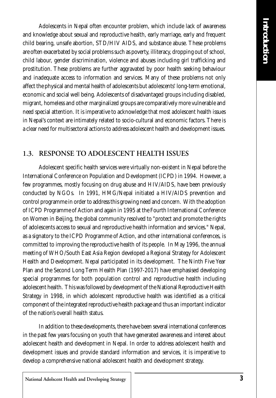Adolescents in Nepal often encounter problem, which include lack of awareness and knowledge about sexual and reproductive health, early marriage, early and frequent child bearing, unsafe abortion, STD/HIV AIDS, and substance abuse. These problems are often exacerbated by social problems such as poverty, illiteracy, dropping out of school, child labour, gender discrimination, violence and abuses including girl trafficking and prostitution. These problems are further aggravated by poor health seeking behaviour and inadequate access to information and services. Many of these problems not only affect the physical and mental health of adolescents but adolescents' long-term emotional, economic and social well being. Adolescents of disadvantaged groups including disabled, migrant, homeless and other marginalized groups are comparatively more vulnerable and need special attention. It is imperative to acknowledge that most adolescent health issues in Nepal's context are intimately related to socio-cultural and economic factors. There is a clear need for multisectoral actions to address adolescent health and development issues.

#### **1.3. RESPONSE TO ADOLESCENT HEALTH ISSUES**

Adolescent specific health services were virtually non-existent in Nepal before the International Conference on Population and Development (ICPD) in 1994. However, a few programmes, mostly focusing on drug abuse and HIV/AIDS, have been previously conducted by NGOs. In 1991, HMG/Nepal initiated a HIV/AIDS prevention and control programme in order to address this growing need and concern. With the adoption of ICPD Programme of Action and again in 1995 at the Fourth International Conference on Women in Beijing, the global community resolved to "protect and promote the rights of adolescents access to sexual and reproductive health information and services." Nepal, as a signatory to the ICPD Programme of Action, and other international conferences, is committed to improving the reproductive health of its people. In May 1996, the annual meeting of WHO/South East Asia Region developed a Regional Strategy for Adolescent Health and Development. Nepal participated in its development. The Ninth Five Year Plan and the Second Long Term Health Plan (1997-2017) have emphasised developing special programmes for both population control and reproductive health including adolescent health. This was followed by development of the National Reproductive Health Strategy in 1998, in which adolescent reproductive health was identified as a critical component of the integrated reproductive health package and thus an important indicator of the nation's overall health status.

In addition to these developments, there have been several international conferences in the past few years focusing on youth that have generated awareness and interest about adolescent health and development in Nepal. In order to address adolescent health and development issues and provide standard information and services, it is imperative to develop a comprehensive national adolescent health and development strategy.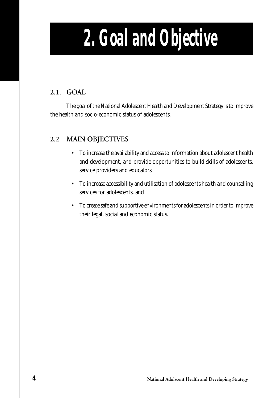# *2. Goal and Objective*

#### **2.1. GOAL**

The goal of the National Adolescent Health and Development Strategy is to improve the health and socio-economic status of adolescents.

#### **2.2 MAIN OBJECTIVES**

- To increase the availability and access to information about adolescent health and development, and provide opportunities to build skills of adolescents, service providers and educators.
- To increase accessibility and utilisation of adolescents health and counselling services for adolescents, and
- To create safe and supportive environments for adolescents in order to improve their legal, social and economic status.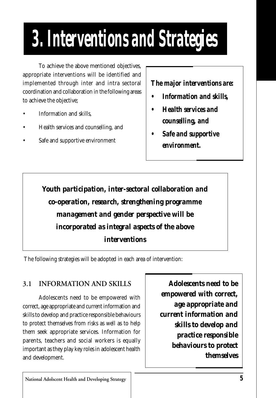# *3. Interventions and Strategies*

To achieve the above mentioned objectives, appropriate interventions will be identified and implemented through inter and intra sectoral coordination and collaboration in the following areas to achieve the objective;

- Information and skills,
- Health services and counselling, and
- Safe and supportive environment

*The major interventions are:*

- *Information and skills,*
- *Health services and counselling, and*
- *Safe and supportive environment.*

*Youth participation, inter-sectoral collaboration and co-operation, research, strengthening programme management and gender perspective will be incorporated as integral aspects of the above interventions*

The following strategies will be adopted in each area of intervention:

#### **3.1 INFORMATION AND SKILLS**

Adolescents need to be empowered with correct, age appropriate and current information and skills to develop and practice responsible behaviours to protect themselves from risks as well as to help them seek appropriate services. Information for parents, teachers and social workers is equally important as they play key roles in adolescent health and development.

*Adolescents need to be empowered with correct, age appropriate and current information and skills to develop and practice responsible behaviours to protect themselves*

**National Adolscent Health and Developing Strategy** *5*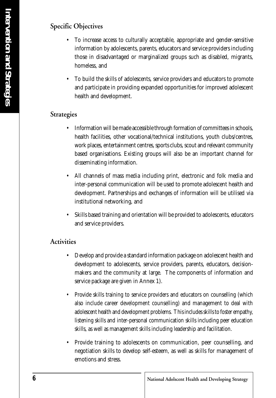#### **Specific Objectives**

- To increase access to culturally acceptable, appropriate and gender-sensitive information by adolescents, parents, educators and service providers including those in disadvantaged or marginalized groups such as disabled, migrants, homeless, and
- To build the skills of adolescents, service providers and educators to promote and participate in providing expanded opportunities for improved adolescent health and development.

#### **Strategies**

- Information will be made accessible through formation of committees in schools, health facilities, other vocational/technical institutions, youth clubs/centres, work places, entertainment centres, sports clubs, scout and relevant community based organisations. Existing groups will also be an important channel for disseminating information.
- All channels of mass media including print, electronic and folk media and inter-personal communication will be used to promote adolescent health and development. Partnerships and exchanges of information will be utilised via institutional networking, and
- Skills based training and orientation will be provided to adolescents, educators and service providers.

#### **Activities**

- Develop and provide a standard information package on adolescent health and development to adolescents, service providers, parents, educators, decisionmakers and the community at large. The components of information and service package are given in Annex 1).
- Provide skills training to service providers and educators on counselling (which also include career development counselling) and management to deal with adolescent health and development problems. This includes skills to foster empathy, listening skills and inter-personal communication skills including peer education skills, as well as management skills including leadership and facilitation.
- Provide training to adolescents on communication, peer counselling, and negotiation skills to develop self-esteem, as well as skills for management of emotions and stress.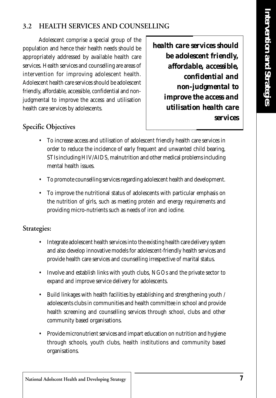#### **3.2 HEALTH SERVICES AND COUNSELLING**

Adolescent comprise a special group of the population and hence their health needs should be appropriately addressed by available health care services. Health services and counselling are areas of intervention for improving adolescent health. Adolescent health care services should be adolescent friendly, affordable, accessible, confidential and nonjudgmental to improve the access and utilisation health care services by adolescents.

*health care services should be adolescent friendly, affordable, accessible, confidential and non-judgmental to improve the access and utilisation health care services*

#### **Specific Objectives**

- To increase access and utilisation of adolescent friendly health care services in order to reduce the incidence of early frequent and unwanted child bearing, STIs including HIV/AIDS, malnutrition and other medical problems including mental health issues.
- To promote counselling services regarding adolescent health and development.
- To improve the nutritional status of adolescents with particular emphasis on the nutrition of girls, such as meeting protein and energy requirements and providing micro-nutrients such as needs of iron and iodine.

#### **Strategies:**

- Integrate adolescent health services into the existing health care delivery system and also develop innovative models for adolescent-friendly health services and provide health care services and counselling irrespective of marital status.
- Involve and establish links with youth clubs, NGOs and the private sector to expand and improve service delivery for adolescents.
- Build linkages with health facilities by establishing and strengthening youth / adolescents clubs in communities and health committee in school and provide health screening and counselling services through school, clubs and other community based organisations.
- Provide micronutrient services and impart education on nutrition and hygiene through schools, youth clubs, health institutions and community based organisations.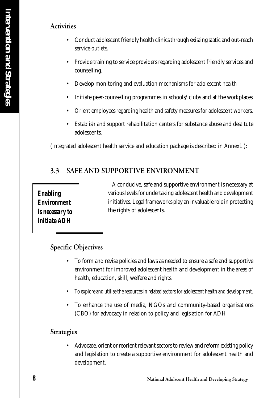#### **Activities**

- Conduct adolescent friendly health clinics through existing static and out-reach service outlets.
- Provide training to service providers regarding adolescent friendly services and counselling.
- Develop monitoring and evaluation mechanisms for adolescent health
- Initiate peer-counselling programmes in schools/ clubs and at the workplaces
- Orient employees regarding health and safety measures for adolescent workers.
- Establish and support rehabilitation centers for substance abuse and destitute adolescents.

(Integrated adolescent health service and education package is described in Annex1.):

#### **3.3 SAFE AND SUPPORTIVE ENVIRONMENT**

*Enabling Environment is necessary to initiate ADH*

A conducive, safe and supportive environment is necessary at various levels for undertaking adolescent health and development initiatives. Legal frameworks play an invaluable role in protecting the rights of adolescents.

#### **Specific Objectives**

- To form and revise policies and laws as needed to ensure a safe and supportive environment for improved adolescent health and development in the areas of health, education, skill, welfare and rights.
- To explore and utilise the resources in related sectors for adolescent health and development.
- To enhance the use of media, NGOs and community-based organisations (CBO) for advocacy in relation to policy and legislation for ADH

#### **Strategies**

• Advocate, orient or reorient relevant sectors to review and reform existing policy and legislation to create a supportive environment for adolescent health and development,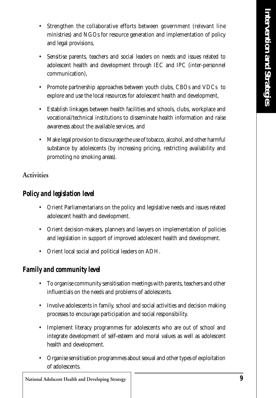- Strengthen the collaborative efforts between government (relevant line ministries) and NGOs for resource generation and implementation of policy and legal provisions,
- Sensitise parents, teachers and social leaders on needs and issues related to adolescent health and development through IEC and IPC (inter-personnel communication),
- Promote partnership approaches between youth clubs, CBOs and VDCs to explore and use the local resources for adolescent health and development,
- Establish linkages between health facilities and schools, clubs, workplace and vocational/technical institutions to disseminate health information and raise awareness about the available services, and
- Make legal provision to discourage the use of tobacco, alcohol, and other harmful substance by adolescents (by increasing pricing, restricting availability and promoting no smoking areas).

#### **Activities**

#### *Policy and legislation level*

- Orient Parliamentarians on the policy and legislative needs and issues related adolescent health and development.
- Orient decision-makers, planners and lawyers on implementation of policies and legislation in support of improved adolescent health and development.
- Orient local social and political leaders on ADH.

#### *Family and community level*

- To organise community sensitisation meetings with parents, teachers and other influentials on the needs and problems of adolescents.
- Involve adolescents in family, school and social activities and decision making processes to encourage participation and social responsibility.
- Implement literacy programmes for adolescents who are out of school and integrate development of self-esteem and moral values as well as adolescent health and development.
- Organise sensitisation programmes about sexual and other types of exploitation of adolescents.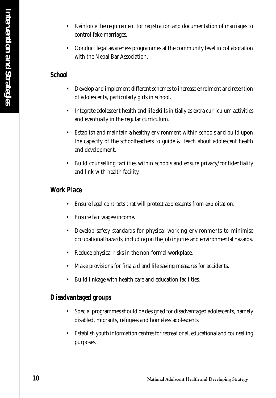- Reinforce the requirement for registration and documentation of marriages to control fake marriages.
- Conduct legal awareness programmes at the community level in collaboration with the Nepal Bar Association.

#### *School*

- Develop and implement different schemes to increase enrolment and retention of adolescents, particularly girls in school.
- Integrate adolescent health and life skills initially as extra curriculum activities and eventually in the regular curriculum.
- Establish and maintain a healthy environment within schools and build upon the capacity of the schoolteachers to guide & teach about adolescent health and development.
- Build counselling facilities within schools and ensure privacy/confidentiality and link with health facility.

#### *Work Place*

- Ensure legal contracts that will protect adolescents from exploitation.
- Ensure fair wages/income.
- Develop safety standards for physical working environments to minimise occupational hazards, including on the job injuries and environmental hazards.
- Reduce physical risks in the non-formal workplace.
- Make provisions for first aid and life saving measures for accidents.
- Build linkage with health care and education facilities.

#### *Disadvantaged groups*

- Special programmes should be designed for disadvantaged adolescents, namely disabled, migrants, refugees and homeless adolescents.
- Establish youth information centres for recreational, educational and counselling purposes.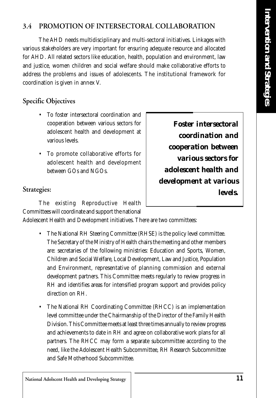#### **3.4 PROMOTION OF INTERSECTORAL COLLABORATION**

The AHD needs multidisciplinary and multi-sectoral initiatives. Linkages with various stakeholders are very important for ensuring adequate resource and allocated for AHD. All related sectors like education, health, population and environment, law and justice, women children and social welfare should make collaborative efforts to address the problems and issues of adolescents. The institutional framework for coordination is given in annex V.

#### **Specific Objectives**

- To foster intersectoral coordination and cooperation between various sectors for adolescent health and development at various levels.
- To promote collaborative efforts for adolescent health and development between GOs and NGOs.

*Foster intersectoral coordination and cooperation between various sectors for adolescent health and development at various levels.*

#### **Strategies:**

The existing Reproductive Health Committees will coordinate and support the national

Adolescent Health and Development initiatives. There are two committees:

- The National RH Steering Committee (RHSE) is the policy level committee. The Secretary of the Ministry of Health chairs the meeting and other members are: secretaries of the following ministries: Education and Sports, Women, Children and Social Welfare, Local Development, Law and Justice, Population and Environment, representative of planning commission and external development partners. This Committee meets regularly to review progress in RH and identifies areas for intensified program support and provides policy direction on RH.
- The National RH Coordinating Committee (RHCC) is an implementation level committee under the Chairmanship of the Director of the Family Health Division. This Committee meets at least three times annually to review progress and achievements to date in RH and agree on collaborative work plans for all partners. The RHCC may form a separate subcommittee according to the need, like the Adolescent Health Subcommittee, RH Research Subcommittee and Safe Motherhood Subcommittee.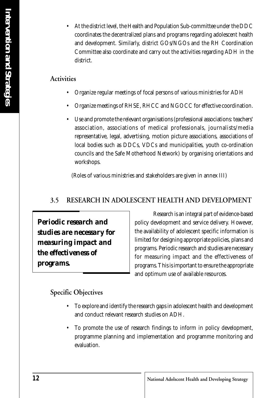• At the district level, the Health and Population Sub-committee under the DDC coordinates the decentralized plans and programs regarding adolescent health and development. Similarly, district GOs/NGOs and the RH Coordination Committee also coordinate and carry out the activities regarding ADH in the district.

#### **Activities**

- Organize regular meetings of focal persons of various ministries for ADH
- Organize meetings of RHSE, RHCC and NGOCC for effective coordination.
- Use and promote the relevant organisations (professional associations: teachers' association, associations of medical professionals, journalists/media representative, legal, advertising, motion picture associations, associations of local bodies such as DDCs, VDCs and municipalities, youth co-ordination councils and the Safe Motherhood Network) by organising orientations and workshops.

(Roles of various ministries and stakeholders are given in annex III)

#### **3.5 RESEARCH IN ADOLESCENT HEALTH AND DEVELOPMENT**

*Periodic research and studies are necessary for measuring impact and the effectiveness of programs.*

Research is an integral part of evidence-based policy development and service delivery. However, the availability of adolescent specific information is limited for designing appropriate policies, plans and programs. Periodic research and studies are necessary for measuring impact and the effectiveness of programs. This is important to ensure the appropriate and optimum use of available resources.

#### **Specific Objectives**

- To explore and identify the research gaps in adolescent health and development and conduct relevant research studies on ADH.
- To promote the use of research findings to inform in policy development, programme planning and implementation and programme monitoring and evaluation.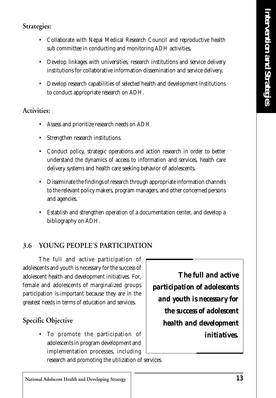#### **Strategies:**

- Collaborate with Nepal Medical Research Council and reproductive health sub committee in conducting and monitoring ADH activities,
- Develop linkages with universities, research institutions and service delivery institutions for collaborative information dissemination and service delivery,
- Develop research capabilities of selected health and development institutions to conduct appropriate research on ADH.

#### **Activities:**

- Assess and prioritize research needs on ADH
- Strengthen research institutions.
- Conduct policy, strategic operations and action research in order to better understand the dynamics of access to information and services, health care delivery systems and health care seeking behavior of adolescents.
- Disseminate the findings of research through appropriate information channels to the relevant policy makers, program managers, and other concerned persons and agencies.
- Establish and strengthen operation of a documentation center, and develop a bibliography on ADH.

#### **3.6 YOUNG PEOPLE'S PARTICIPATION**

The full and active participation of adolescents and youth is necessary for the success of adolescent health and development initiatives. For, female and adolescents of marginalized groups participation is important because they are in the greatest needs in terms of education and services.

#### **Specific Objective**

To promote the participation of adolescents in program development and implementation processes, including

*The full and active participation of adolescents and youth is necessary for the success of adolescent health and development initiatives.*

research and promoting the utilization of services.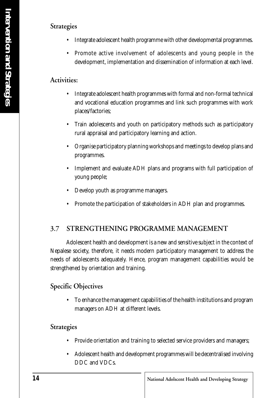#### **Strategies**

- Integrate adolescent health programme with other developmental programmes.
- Promote active involvement of adolescents and young people in the development, implementation and dissemination of information at each level.

#### **Activities:**

- Integrate adolescent health programmes with formal and non-formal technical and vocational education programmes and link such programmes with work places/factories;
- Train adolescents and youth on participatory methods such as participatory rural appraisal and participatory learning and action.
- Organise participatory planning workshops and meetings to develop plans and programmes.
- Implement and evaluate ADH plans and programs with full participation of young people;
- Develop youth as programme managers.
- Promote the participation of stakeholders in ADH plan and programmes.

#### **3.7 STRENGTHENING PROGRAMME MANAGEMENT**

Adolescent health and development is a new and sensitive subject in the context of Nepalese society, therefore, it needs modern participatory management to address the needs of adolescents adequately. Hence, program management capabilities would be strengthened by orientation and training.

#### **Specific Objectives**

• To enhance the management capabilities of the health institutions and program managers on ADH at different levels.

#### **Strategies**

- Provide orientation and training to selected service providers and managers;
- Adolescent health and development programmes will be decentralised involving DDC and VDCs.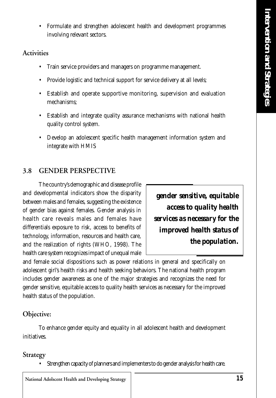• Formulate and strengthen adolescent health and development programmes involving relevant sectors.

#### **Activities**

- Train service providers and managers on programme management.
- Provide logistic and technical support for service delivery at all levels;
- Establish and operate supportive monitoring, supervision and evaluation mechanisms;
- Establish and integrate quality assurance mechanisms with national health quality control system.
- Develop an adolescent specific health management information system and integrate with HMIS

#### **3.8 GENDER PERSPECTIVE**

The country's demographic and disease profile and developmental indicators show the disparity between males and females, suggesting the existence of gender bias against females. Gender analysis in health care reveals males and females have differentials exposure to risk, access to benefits of technology, information, resources and health care, and the realization of rights (WHO, 1998). The health care system recognizes impact of unequal male

*gender sensitive, equitable access to quality health services as necessary for the improved health status of the population.*

and female social dispositions such as power relations in general and specifically on adolescent girl's health risks and health seeking behaviors. The national health program includes gender awareness as one of the major strategies and recognizes the need for gender sensitive, equitable access to quality health services as necessary for the improved health status of the population.

#### **Objective:**

To enhance gender equity and equality in all adolescent health and development initiatives.

#### **Strategy**

• Strengthen capacity of planners and implementers to do gender analysis for health care.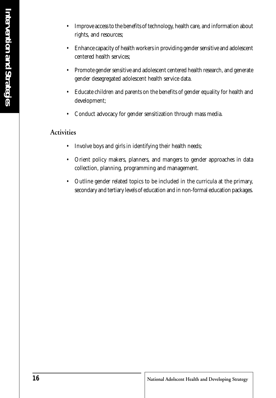- Enhance capacity of health workers in providing gender sensitive and adolescent centered health services;
- Promote gender sensitive and adolescent centered health research, and generate gender desegregated adolescent health service data.
- Educate children and parents on the benefits of gender equality for health and development;
- Conduct advocacy for gender sensitization through mass media.

#### **Activities**

- Involve boys and girls in identifying their health needs;
- Orient policy makers, planners, and mangers to gender approaches in data collection, planning, programming and management.
- Outline gender related topics to be included in the curricula at the primary, secondary and tertiary levels of education and in non-formal education packages.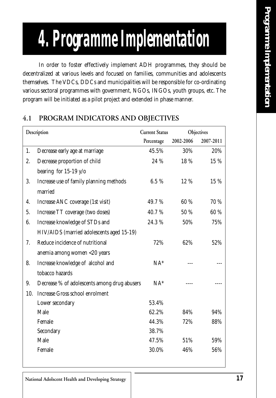# *4. Programme Implementation*

In order to foster effectively implement ADH programmes, they should be decentralized at various levels and focused on families, communities and adolescents themselves. The VDCs, DDCs and municipalities will be responsible for co-ordinating various sectoral programmes with government, NGOs, INGOs, youth groups, etc. The program will be initiated as a pilot project and extended in phase manner.

| Description |                                              | <b>Current Status</b> | Objectives |           |
|-------------|----------------------------------------------|-----------------------|------------|-----------|
|             |                                              | Percentage            | 2002-2006  | 2007-2011 |
| 1.          | Decrease early age at marriage               | 45.5%                 | 30%        | 20%       |
| 2.          | Decrease proportion of child                 | 24 %                  | 18 %       | 15 %      |
|             | bearing for $15-19$ y/o                      |                       |            |           |
| 3.          | Increase use of family planning methods      | 6.5%                  | 12 %       | 15 %      |
|             | married                                      |                       |            |           |
| 4.          | Increase ANC coverage (1st visit)            | 49.7%                 | 60 %       | 70 %      |
| 5.          | Increase TT coverage (two doses)             | 40.7%                 | 50 %       | 60 %      |
| 6.          | Increase knowledge of STDs and               | 24.3%                 | 50%        | 75%       |
|             | HIV/AIDS (married adolescents aged 15-19)    |                       |            |           |
| 7.          | Reduce incidence of nutritional              | 72%                   | 62%        | 52%       |
|             | anemia among women <20 years                 |                       |            |           |
| 8.          | Increase knowledge of alcohol and            | $NA^*$                |            |           |
|             | tobacco hazards                              |                       |            |           |
| 9.          | Decrease % of adolescents among drug abusers | $NA^*$                |            |           |
| 10.         | <b>Increase Gross school enrolment</b>       |                       |            |           |
|             | Lower secondary                              | 53.4%                 |            |           |
|             | Male                                         | 62.2%                 | 84%        | 94%       |
|             | Female                                       | 44.3%                 | 72%        | 88%       |
|             | Secondary                                    | 38.7%                 |            |           |
|             | Male                                         | 47.5%                 | 51%        | 59%       |
|             | Female                                       | 30.0%                 | 46%        | 56%       |

#### **4.1 PROGRAM INDICATORS AND OBJECTIVES**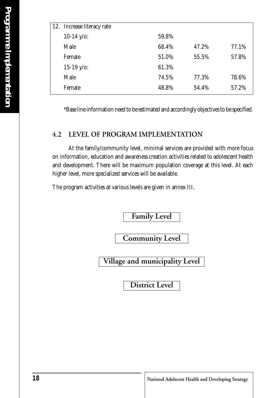| 12. Increase literacy rate |       |       |       |
|----------------------------|-------|-------|-------|
| $10-14$ y/o:               | 59.8% |       |       |
| Male                       | 68.4% | 47.2% | 77.1% |
| Female                     | 51.0% | 55.5% | 57.8% |
| $15-19$ y/o:               | 61.3% |       |       |
| Male                       | 74.5% | 77.3% | 78.6% |
| Female                     | 48.8% | 54.4% | 57.2% |

\*Base line information need to be estimated and accordingly objectives to be specified.

#### **4.2 LEVEL OF PROGRAM IMPLEMENTATION**

At the family/community level, minimal services are provided with more focus on information, education and awareness creation activities related to adolescent health and development. There will be maximum population coverage at this level. At each higher level, more specialized services will be available.

The program activities at various levels are given in annex III.

**Family Level**

**Community Level**

**Village and municipality Level**

**District Level**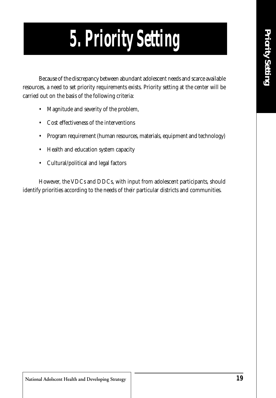# *5. Priority Setting*

Because of the discrepancy between abundant adolescent needs and scarce available resources, a need to set priority requirements exists. Priority setting at the center will be carried out on the basis of the following criteria:

- Magnitude and severity of the problem,
- Cost effectiveness of the interventions
- Program requirement (human resources, materials, equipment and technology)
- Health and education system capacity
- Cultural/political and legal factors

However, the VDCs and DDCs, with input from adolescent participants, should identify priorities according to the needs of their particular districts and communities.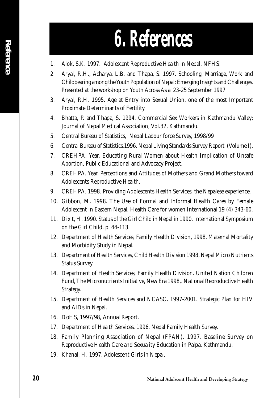- 1. Alok, S.K. 1997. Adolescent Reproductive Health in Nepal, NFHS.
- 2. Aryal, R.H., Acharya, L.B. and Thapa, S. 1997. Schooling, Marriage, Work and Childbearing among the Youth Population of Nepal: Emerging Insights and Challenges. Presented at the workshop on Youth Across Asia: 23-25 September 1997
- 3. Aryal, R.H. 1995. Age at Entry into Sexual Union, one of the most Important Proximate Determinants of Fertility.
- 4. Bhatta, P. and Thapa, S. 1994. Commercial Sex Workers in Kathmandu Valley; Journal of Nepal Medical Association, Vol.32, Kathmandu.
- 5. Central Bureau of Statistics, Nepal Labour force Survey, 1998/99
- 6. Central Bureau of Statistics.1996. Nepal Living Standards Survey Report (Volume I).
- 7. CREHPA. Year. Educating Rural Women about Health Implication of Unsafe Abortion, Public Educational and Advocacy Project.
- 8. CREHPA. Year. Perceptions and Attitudes of Mothers and Grand Mothers toward Adolescents Reproductive Health.
- 9. CREHPA. 1998. Providing Adolescents Health Services, the Nepalese experience.
- 10. Gibbon, M. 1998. The Use of Formal and Informal Health Cares by Female Adolescent in Eastern Nepal, Health Care for women International 19 (4) 343-60.
- 11. Dixit, H. 1990. Status of the Girl Child in Nepal in 1990. International Symposium on the Girl Child. p. 44-113.
- 12. Department of Health Services, Family Health Division, 1998, Maternal Mortality and Morbidity Study in Nepal.
- 13. Department of Health Services, Child Health Division 1998, Nepal Micro Nutrients Status Survey
- 14. Department of Health Services, Family Health Division. United Nation Children Fund, The Micronutrients Initiative, New Era 1998,. National Reproductive Health Strategy.
- 15. Department of Health Services and NCASC. 1997-2001. Strategic Plan for HIV and AIDs in Nepal.
- 16. DoHS, 1997/98, Annual Report.
- 17. Department of Health Services. 1996. Nepal Family Health Survey.
- 18. Family Planning Association of Nepal (FPAN). 1997. Baseline Survey on Reproductive Health Care and Sexuality Education in Palpa, Kathmandu.
- 19. Khanal, H. 1997. Adolescent Girls in Nepal.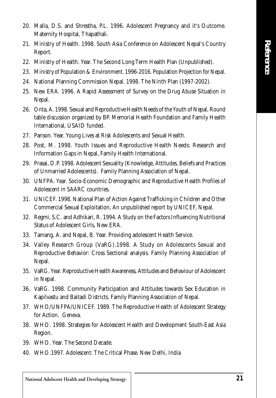- 20. Malla, D.S. and Shrestha, P.L. 1996. Adolescent Pregnancy and it's Outcome. Maternity Hospital, Thapathali.
- 21. Ministry of Health. 1998. South Asia Conference on Adolescent Nepal's Country Report.
- 22. Ministry of Health. Year. The Second Long Term Health Plan (Unpublished).
- 23. Ministry of Population & Environment. 1996-2016. Population Projection for Nepal.
- 24. National Planning Commission Nepal. 1998. The Ninth Plan (1997-2002).
- 25. New ERA. 1996. A Rapid Assessment of Survey on the Drug Abuse Situation in Nepal.
- 26. Onta, A. 1998. Sexual and Reproductive Health Needs of the Youth of Nepal, Round table discussion organized by BP. Memorial Health Foundation and Family Health International, USAID funded.
- 27. Panson. Year. Young Lives at Risk Adolescents and Sexual Health.
- 28. Post, M. 1998. Youth Issues and Reproductive Health Needs: Research and Information Gaps in Nepal, Family Health International.
- 29. Prasai, D.P. 1998. Adolescent Sexuality (Knowledge, Attitudes, Beliefs and Practices of Unmarried Adolescents). Family Planning Association of Nepal.
- 30. UNFPA. Year. Socio-Economic Demographic and Reproductive Health Profiles of Adolescent in SAARC countries.
- 31. UNICEF. 1998. National Plan of Action Against Trafficking in Children and Other Commercial Sexual Exploitation, An unpublished report by UNICEF, Nepal.
- 32. Regmi, S.C. and Adhikari, R. 1994. A Study on the Factors Influencing Nutritional Status of Adolescent Girls, New ERA.
- 33. Tamang, A. and Nepal, B. Year. Providing adolescent Health Service.
- 34. Valley Research Group (VaRG).1998. A Study on Adolescents Sexual and Reproductive Behavior: Cross Sectional analysis. Family Planning Association of Nepal.
- 35. VaRG. Year. Reproductive Health Awareness, Attitudes and Behaviour of Adolescent in Nepal.
- 36. VaRG. 1998. Community Participation and Attitudes towards Sex Education in Kapilvastu and Baitadi Districts. Family Planning Association of Nepal.
- 37. WHO/UNFPA/UNICEF. 1989. The Reproductive Health of Adolescent Strategy for Action. Geneva.
- 38. WHO. 1998. Strategies for Adolescent Health and Development South-East Asia Region.
- 39. WHO. Year. The Second Decade.
- 40. WHO.1997. Adolescent: The Critical Phase. New Delhi, India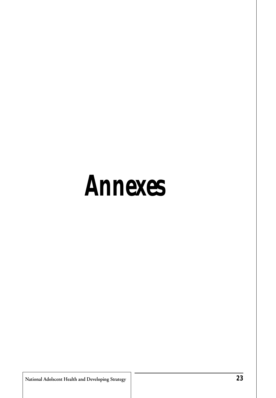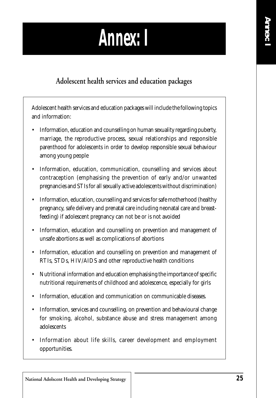### *Annex: I*

#### **Adolescent health services and education packages**

Adolescent health services and education packages will include the following topics and information:

- Information, education and counselling on human sexuality regarding puberty, marriage, the reproductive process, sexual relationships and responsible parenthood for adolescents in order to develop responsible sexual behaviour among young people
- Information, education, communication, counselling and services about contraception (emphasising the prevention of early and/or unwanted pregnancies and STIs for all sexually active adolescents without discrimination)
- Information, education, counselling and services for safe motherhood (healthy pregnancy, safe delivery and prenatal care including neonatal care and breastfeeding) if adolescent pregnancy can not be or is not avoided
- Information, education and counselling on prevention and management of unsafe abortions as well as complications of abortions
- Information, education and counselling on prevention and management of RTIs, STDs, HIV/AIDS and other reproductive health conditions
- Nutritional information and education emphasising the importance of specific nutritional requirements of childhood and adolescence, especially for girls
- Information, education and communication on communicable diseases.
- Information, services and counselling, on prevention and behavioural change for smoking, alcohol, substance abuse and stress management among adolescents
- Information about life skills, career development and employment opportunities.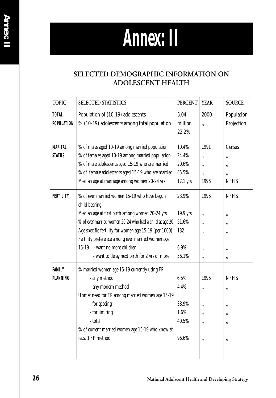# *Annex: II*



#### **SELECTED DEMOGRAPHIC INFORMATION ON ADOLESCENT HEALTH**

| <b>TOPIC</b>                    | SELECTED STATISTICS                                                                                                                                                                                                                                                                                                                                                        | <b>PERCENT</b>                                     | <b>YEAR</b>                        | <b>SOURCE</b>                             |
|---------------------------------|----------------------------------------------------------------------------------------------------------------------------------------------------------------------------------------------------------------------------------------------------------------------------------------------------------------------------------------------------------------------------|----------------------------------------------------|------------------------------------|-------------------------------------------|
| TOTAL<br><b>POPULATION</b>      | 5.04<br>Population of (10-19) adolescents<br>% (10-19) adolescents among total population<br>million<br>22.2%                                                                                                                                                                                                                                                              |                                                    | 2000<br>,,                         | Population<br>Projection                  |
| <b>MARITAL</b><br><b>STATUS</b> | % of males aged 10-19 among married population<br>% of females aged 10-19 among married population<br>% of male adolescents aged 15-19 who are married<br>% of female adolescents aged 15-19 who are married<br>Median age at marriage among women 20-24 yrs                                                                                                               | 10.4%<br>24.4%<br>20.6%<br>45.5%<br>17.1 yrs       | 1991<br>,,<br>,,<br>,,<br>1996     | Census<br>,,<br>٠,<br>,,<br><b>NFHS</b>   |
| FERTILITY                       | % of ever married women 15-19 who have begun<br>child bearing<br>Median age at first birth among women 20-24 yrs<br>% of ever married women 20-24 who had a child at age 20<br>Age specific fertility for women age 15-19 (per 1000)<br>Fertility preference among ever married women age<br>15-19 - want no more children<br>- want to delay next birth for 2 yrs or more | 23.9%<br>19.9 yrs<br>51.6%<br>132<br>6.9%<br>56.1% | 1996<br>,,<br>,,<br>,,<br>,,<br>,, | <b>NFHS</b><br>,,<br>,,<br>,,<br>,,<br>,, |
| <b>FAMILY</b><br>PLANNING       | % married women age 15-19 currently using FP<br>- any method<br>- any modern method<br>Unmet need for FP among married women age 15-19<br>- for spacing<br>- for limiting<br>- total<br>% of current married women age 15-19 who know at<br>least 1 FP method                                                                                                              | 6.5%<br>4.4%<br>38.9%<br>$1.6\%$<br>40.5%<br>96.6% | 1996<br>,,<br>,,<br>,,<br>,,<br>,, | <b>NFHS</b><br>,,<br>,,<br>,,<br>,,<br>,, |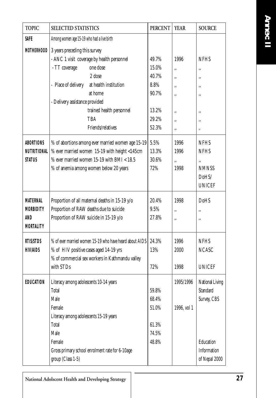*Annex: II*

| <b>TOPIC</b>                                                   | SELECTED STATISTICS                                                                                                                                                                                                                                                                                                          | <b>PERCENT</b>                                                              | <b>YEAR</b>                                            | <b>SOURCE</b>                                                                           |
|----------------------------------------------------------------|------------------------------------------------------------------------------------------------------------------------------------------------------------------------------------------------------------------------------------------------------------------------------------------------------------------------------|-----------------------------------------------------------------------------|--------------------------------------------------------|-----------------------------------------------------------------------------------------|
| <b>SAFE</b>                                                    | Among women age 15-19 who had a live birth                                                                                                                                                                                                                                                                                   |                                                                             |                                                        |                                                                                         |
| <b>MOTHERHOOD</b><br>ABORTIONS                                 | 3 years preceding this survey<br>- ANC 1 visit coverage by health personnel<br>one dose<br>- TT coverage<br>2 dose<br>- Place of delivery<br>at health institution<br>at home<br>- Delivery assistance provided<br>trained health personnel<br>TBA<br>Friends/relatives<br>% of abortions among ever married women age 15-19 | 49.7%<br>15.0%<br>40.7%<br>8.8%<br>90.7%<br>13.2%<br>29.2%<br>52.3%<br>5.5% | 1996<br>,,<br>,,<br>,,<br>,,<br>,,<br>,,<br>,,<br>1996 | <b>NFHS</b><br>,,<br>,,<br>,,<br>,,<br>,,<br>,,<br>,,<br><b>NFHS</b>                    |
| <b>NUTRITIONAL</b>                                             | % ever married women 15-19 with height <145cm                                                                                                                                                                                                                                                                                | 13.3%                                                                       | 1996                                                   | <b>NFHS</b>                                                                             |
| STATUS                                                         | $%$ ever married women 15-19 with BMI < 18.5<br>% of anemia among women below 20 years                                                                                                                                                                                                                                       | 30.6%<br>72%                                                                | ,,<br>1998                                             | ,,<br><b>NMNSS</b><br>DoHS/<br><b>UNICEF</b>                                            |
| <i>MATERNAL</i><br><b>MORBIDITY</b><br>AND<br><b>MORTALITY</b> | Proportion of all maternal deaths in 15-19 y/o<br>Proportion of RAW deaths due to suicide<br>Proportion of RAW suicide in 15-19 y/o                                                                                                                                                                                          | 20.4%<br>9.5%<br>27.8%                                                      | 1998<br>,,<br>,,                                       | DoHS<br>,,<br>,,                                                                        |
| <i>RTIS/STDS</i><br><b>HIV/AIDS</b>                            | % of ever married women 15-19 who have heard about AIDS<br>% of HIV positive cases aged 14-19 yrs<br>% of commercial sex workers in Kathmandu valley<br>with STDs                                                                                                                                                            | 24.3%<br>13%<br>72%                                                         | 1996<br>2000<br>1998                                   | <b>NFHS</b><br><b>NCASC</b><br><b>UNICEF</b>                                            |
| EDUCATION                                                      | Literacy among adolescents 10-14 years<br>Total<br>Male<br>Female<br>Literacy among adolescents 15-19 years<br>Total<br>Male<br>Female<br>Gross primary school enrolment rate for 6-10age<br>group (Class 1-5)                                                                                                               | 59.8%<br>68.4%<br>51.0%<br>61.3%<br>74.5%<br>48.8%                          | 1995/1996<br>1996, vol 1                               | National Living<br>Standard<br>Survey, CBS<br>Education<br>Information<br>of Nepal 2000 |

**National Adolscent Health and Developing Strategy** *27*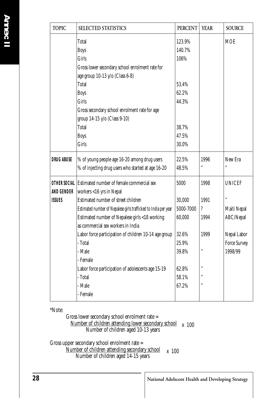| <b>TOPIC</b>      | SELECTED STATISTICS                                             | <b>PERCENT</b> | <b>YEAR</b> | <b>SOURCE</b>       |
|-------------------|-----------------------------------------------------------------|----------------|-------------|---------------------|
|                   | Total                                                           | 123.9%         |             | <b>MOE</b>          |
|                   | <b>Boys</b>                                                     | 140.7%         |             |                     |
|                   | <b>Girls</b>                                                    | 106%           |             |                     |
|                   | Gross lower secondary school enrolment rate for                 |                |             |                     |
|                   | age group 10-13 y/o (Class 6-8)                                 |                |             |                     |
|                   | Total                                                           | 53.4%          |             |                     |
|                   | <b>Boys</b>                                                     | 62.2%          |             |                     |
|                   | <b>Girls</b>                                                    | 44.3%          |             |                     |
|                   | Gross secondary school enrolment rate for age                   |                |             |                     |
|                   | group 14-15 y/o (Class 9-10)                                    |                |             |                     |
|                   | Total                                                           | 38.7%          |             |                     |
|                   | <b>Boys</b>                                                     | 47.5%          |             |                     |
|                   | Girls                                                           | 30.0%          |             |                     |
| <b>DRUG ABUSE</b> | % of young people age 16-20 among drug users                    | 22.5%          | 1996        | New Era             |
|                   | % of injecting drug users who started at age 16-20              | 48.5%          | ,,          |                     |
|                   | OTHER SOCIAL Estimated number of female commercial sex          | 5000           | 1998        | <b>UNICEF</b>       |
| AND GENDER        | workers <16 yrs in Nepal                                        |                |             |                     |
| <b>ISSUES</b>     | Estimated number of street children                             | 30,000         | 1991        | ,,                  |
|                   | Estimated number of Nepalese girls trafficked to India per year | 5000-7000      | ?           | Maiti Nepal         |
|                   | Estimated number of Nepalese girls <18 working                  | 60,000         | 1994        | ABC/Nepal           |
|                   | as commercial sex workers in India                              |                |             |                     |
|                   | Labor force participation of children 10-14 age group           | 32.6%          | 1999        | Nepal Labor         |
|                   | - Total                                                         | 25.9%          |             | <b>Force Survey</b> |
|                   | - Male                                                          | 39.8%          | ,,          | 1998/99             |
|                   | - Female                                                        |                |             |                     |
|                   | Labor force participation of adolescents age 15-19              | 62.8%          | ,,          |                     |
|                   | - Total                                                         | 58.1%          | ,,          |                     |
|                   | - Male                                                          | 67.2%          | ,,          |                     |
|                   | - Female                                                        |                |             |                     |
|                   |                                                                 |                |             |                     |

\*Note:

Gross lower secondary school enrolment rate = Number of children attending lower secondary school  $x$  100 Number of children aged 10-13 years

Gross upper secondary school enrolment rate =  $\frac{N$ umber of children attending secondary school  $x$  100 Number of children aged 14-15 years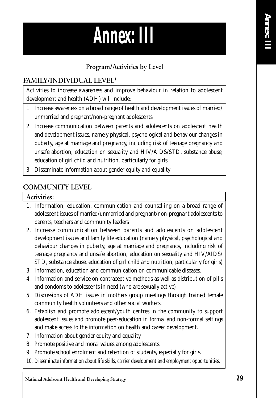

#### **Program/Activities by Level**

#### **FAMILY/INDIVIDUAL LEVEL1**

Activities to increase awareness and improve behaviour in relation to adolescent development and health (ADH) will include:

- 1. Increase awareness on a broad range of health and development issues of married/ unmarried and pregnant/non-pregnant adolescents
- 2. Increase communication between parents and adolescents on adolescent health and development issues, namely physical, psychological and behaviour changes in puberty, age at marriage and pregnancy, including risk of teenage pregnancy and unsafe abortion, education on sexuality and HIV/AIDS/STD, substance abuse, education of girl child and nutrition, particularly for girls
- 3. Disseminate information about gender equity and equality

#### **COMMUNITY LEVEL**

#### **Activities:**

- 1. Information, education, communication and counselling on a broad range of adolescent issues of married/unmarried and pregnant/non-pregnant adolescents to parents, teachers and community leaders
- 2. Increase communication between parents and adolescents on adolescent development issues and family life education (namely physical, psychological and behaviour changes in puberty, age at marriage and pregnancy, including risk of teenage pregnancy and unsafe abortion, education on sexuality and HIV/AIDS/ STD, substance abuse, education of girl child and nutrition, particularly for girls)
- 3. Information, education and communication on communicable diseases.
- 4. Information and service on contraceptive methods as well as distribution of pills and condoms to adolescents in need (who are sexually active)
- 5. Discussions of ADH issues in mothers group meetings through trained female community health volunteers and other social workers.
- 6. Establish and promote adolescent/youth centres in the community to support adolescent issues and promote peer-education in formal and non-formal settings and make access to the information on health and career development.
- 7. Information about gender equity and equality.
- 8. Promote positive and moral values among adolescents.
- 9. Promote school enrolment and retention of students, especially for girls.
- 10. Disseminate information about life skills, carrier development and employment opportunities.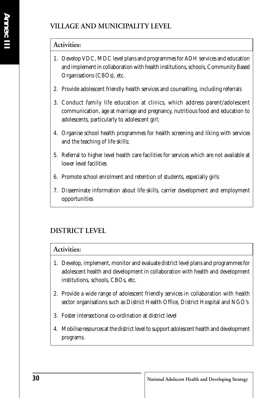#### **VILLAGE AND MUNICIPALITY LEVEL**

#### **Activities:**

- 1. Develop VDC, MDC level plans and programmes for ADH services and education and implement in collaboration with health institutions, schools, Community Based Organisations (CBOs), etc.
- 2. Provide adolescent friendly health services and counselling, including referrals
- 3. Conduct family life education at clinics, which address parent/adolescent communication, age at marriage and pregnancy, nutritious food and education to adolescents, particularly to adolescent girl;
- 4. Organise school health programmes for health screening and liking with services and the teaching of life skills;
- 5. Referral to higher level health care facilities for services which are not available at lower level facilities
- 6. Promote school enrolment and retention of students, especially girls
- 7. Disseminate information about life skills, carrier development and employment opportunities

#### **DISTRICT LEVEL**

#### **Activities:**

- 1. Develop, implement, monitor and evaluate district level plans and programmes for adolescent health and development in collaboration with health and development institutions, schools, CBOs, etc.
- 2. Provide a wide range of adolescent friendly services in collaboration with health sector organisations such as District Health Office, District Hospital and NGO's
- 3. Foster intersectional co-ordination at district level
- 4. Mobilise resources at the district level to support adolescent health and development programs.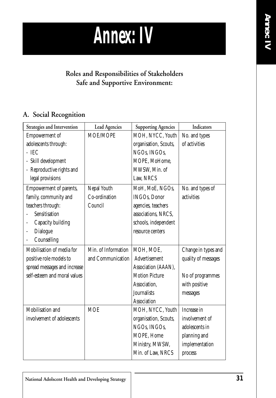

#### **Roles and Responsibilities of Stakeholders Safe and Supportive Environment:**

#### **A. Social Recognition**

| Strategies and Intervention  | <b>Lead Agencies</b> | <b>Supporting Agencies</b> | Indicators          |
|------------------------------|----------------------|----------------------------|---------------------|
| Empowerment of               | MOE/MOPE             | MOH, NYCC, Youth           | No. and types       |
| adolescents through:         |                      | organisation, Scouts,      | of activities       |
| $-$ IEC                      |                      | NGOs, INGOs,               |                     |
| - Skill development          |                      | MOPE, MoHome,              |                     |
| - Reproductive rights and    |                      | MWSW, Min. of              |                     |
| legal provisions             |                      | Law, NRCS                  |                     |
| Empowerment of parents,      | Nepal Youth          | MoH, MoE, NGOs,            | No. and types of    |
| family, community and        | Co-ordination        | <b>INGOs, Donor</b>        | activities          |
| teachers through:            | Council              | agencies, teachers         |                     |
| Sensitisation                |                      | associations, NRCS,        |                     |
| Capacity building            |                      | schools, independent       |                     |
| Dialogue<br>٠                |                      | resource centers           |                     |
| Counselling<br>÷             |                      |                            |                     |
| Mobilisation of media for    | Min. of Information  | MOH, MOE,                  | Change in types and |
| positive role models to      | and Communication    | Advertisement              | quality of messages |
| spread messages and increase |                      | Association (AAAN),        |                     |
| self-esteem and moral values |                      | <b>Motion Picture</b>      | No of programmes    |
|                              |                      | Association,               | with positive       |
|                              |                      | <b>Journalists</b>         | messages            |
|                              |                      | Association                |                     |
| Mobilisation and             | <b>MOE</b>           | MOH, NYCC, Youth           | Increase in         |
| involvement of adolescents   |                      | organisation, Scouts,      | involvement of      |
|                              |                      | NGOs, INGOs,               | adolescents in      |
|                              |                      | MOPE, Home                 | planning and        |
|                              |                      | Ministry, MWSW,            | implementation      |
|                              |                      | Min. of Law, NRCS          | process             |
|                              |                      |                            |                     |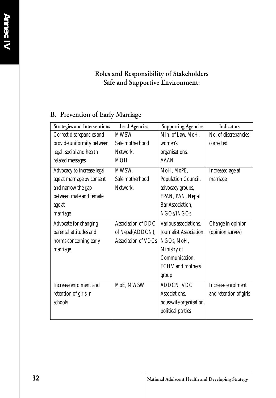#### **Roles and Responsibility of Stakeholders Safe and Supportive Environment:**

#### **B. Prevention of Early Marriage**

| Strategies and Interventions | <b>Lead Agencies</b>       | <b>Supporting Agencies</b> | Indicators             |
|------------------------------|----------------------------|----------------------------|------------------------|
| Correct discrepancies and    | <b>MWSW</b>                | Min. of Law, MoH,          | No. of discrepancies   |
| provide uniformity between   | Safe motherhood            | women's                    | corrected              |
| legal, social and health     | Network,                   | organisations,             |                        |
| related messages             | MOH                        | AAAN                       |                        |
| Advocacy to increase legal   | MWSW,                      | MoH, MoPE,                 | Increased age at       |
| age at marriage by consent   | Safe motherhood            | Population Council,        | marriage               |
| and narrow the gap           | Network.                   | advocacy groups,           |                        |
| between male and female      |                            | FPAN, PAN, Nepal           |                        |
| age at                       |                            | Bar Association,           |                        |
| marriage                     |                            | NGOs/INGOs                 |                        |
| Advocate for changing        | Association of DDC         | Various associations,      | Change in opinion      |
| parental attitudes and       | of Nepal(ADDCN),           | Journalist Association,    | (opinion survey)       |
| norms concerning early       | <b>Association of VDCs</b> | NGOs, MoH,                 |                        |
| marriage                     |                            | Ministry of                |                        |
|                              |                            | Communication,             |                        |
|                              |                            | <b>FCHV</b> and mothers    |                        |
|                              |                            | group                      |                        |
| Increase enrolment and       | MoE, MWSW                  | ADDCN, VDC                 | Increase enrolment     |
| retention of girls in        |                            | Associations,              | and retention of girls |
| schools                      |                            | housewife organisation,    |                        |
|                              |                            | political parties          |                        |
|                              |                            |                            |                        |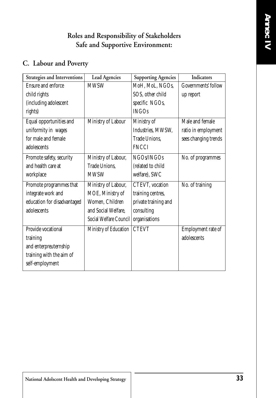#### **Roles and Responsibility of Stakeholders Safe and Supportive Environment:**

#### **C. Labour and Poverty**

| Strategies and Interventions | <b>Lead Agencies</b>   | <b>Supporting Agencies</b> | Indicators           |
|------------------------------|------------------------|----------------------------|----------------------|
| <b>Ensure and enforce</b>    | <b>MWSW</b>            | MoH, MoL, NGOs,            | Governments' follow  |
| child rights                 |                        | SOS, other child           | up report            |
| (including adolescent        |                        | specific NGOs,             |                      |
| rights)                      |                        | <b>INGOs</b>               |                      |
| Equal opportunities and      | Ministry of Labour     | Ministry of                | Male and female      |
| uniformity in wages          |                        | Industries, MWSW,          | ratio in employment  |
| for male and female          |                        | Trade Unions,              | sees changing trends |
| adolescents                  |                        | <b>FNCCI</b>               |                      |
| Promote safety, security     | Ministry of Labour,    | NGOs/INGOs                 | No. of programmes    |
| and health care at           | Trade Unions,          | (related to child          |                      |
| workplace                    | <b>MWSW</b>            | welfare), SWC              |                      |
| Promote programmes that      | Ministry of Labour,    | CTEVT, vocation            | No. of training      |
| integrate work and           | MOE, Ministry of       | training centres,          |                      |
| education for disadvantaged  | Women, Children        | private training and       |                      |
| adolescents                  | and Social Welfare,    | consulting                 |                      |
|                              | Social Welfare Council | organisations              |                      |
| Provide vocational           | Ministry of Education  | <b>CTEVT</b>               | Employment rate of   |
| training                     |                        |                            | adolescents          |
| and enterpreuternship        |                        |                            |                      |
| training with the aim of     |                        |                            |                      |
| self-employment              |                        |                            |                      |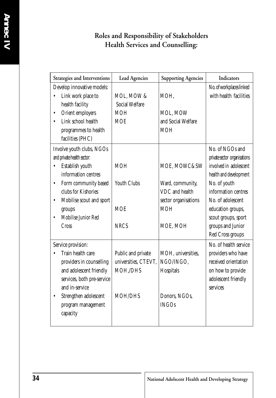#### **Roles and Responsibility of Stakeholders Health Services and Counselling:**

|           | Strategies and Interventions | <b>Lead Agencies</b>  | <b>Supporting Agencies</b> | Indicators                   |
|-----------|------------------------------|-----------------------|----------------------------|------------------------------|
|           | Develop innovative models:   |                       |                            | No. of workplaces linked     |
|           | Link work place to           | MOL, MOW &            | MOH,                       | with health facilities       |
|           | health facility              | <b>Social Welfare</b> |                            |                              |
| $\bullet$ | Orient employers             | <b>MOH</b>            | MOL, MOW                   |                              |
| $\bullet$ | Link school health           | <b>MOE</b>            | and Social Welfare         |                              |
|           | programmes to health         |                       | <b>MOH</b>                 |                              |
|           | facilities (PHC)             |                       |                            |                              |
|           | Involve youth clubs, NGOs    |                       |                            | No. of NGOs and              |
|           | and private health sector:   |                       |                            | private sector organisations |
|           | Establish youth              | <b>MOH</b>            | MOE, MOWC&SW               | involved in adolescent       |
|           | information centres          |                       |                            | health and development       |
| $\bullet$ | Form community based         | <b>Youth Clubs</b>    | Ward, community,           | No. of youth                 |
|           | clubs for Kishories          |                       | VDC and health             | information centres          |
| ٠         | Mobilise scout and sport     |                       | sector organisations       | No. of adolescent            |
|           | groups                       | <b>MOE</b>            | <b>MOH</b>                 | education groups,            |
|           | Mobilise Junior Red          |                       |                            | scout groups, sport          |
|           | Cross                        | <b>NRCS</b>           | MOE, MOH                   | groups and Junior            |
|           |                              |                       |                            | Red Cross groups             |
|           | Service provision:           |                       |                            | No. of health service        |
|           | Train health care            | Public and private    | MOH, universities,         | providers who have           |
|           | providers in counselling     | universities, CTEVT,  | NGO/INGO,                  | received orientation         |
|           | and adolescent friendly      | MOH,/DHS              | Hospitals                  | on how to provide            |
|           | services, both pre-service   |                       |                            | adolescent friendly          |
|           | and in-service               |                       |                            | services                     |
| ٠         | Strengthen adolescent        | MOH/DHS               | Donors, NGOs,              |                              |
|           | program management           |                       | <b>INGOs</b>               |                              |
|           | capacity                     |                       |                            |                              |
|           |                              |                       |                            |                              |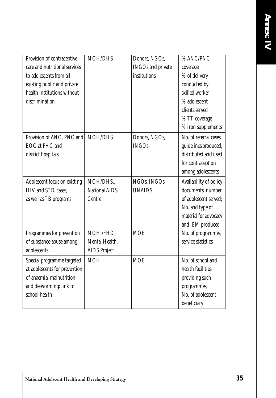| Provision of contraceptive    | <b>MOH/DHS</b>       | Donors, NGOs,            | % ANC/PNC              |
|-------------------------------|----------------------|--------------------------|------------------------|
| care and nutritional services |                      | <b>INGOs</b> and private | coverage               |
| to adolescents from all       |                      | institutions             | % of delivery          |
| existing public and private   |                      |                          | conducted by           |
| health institutions without   |                      |                          | skilled worker         |
| discrimination                |                      |                          | % adolescent           |
|                               |                      |                          | clients served         |
|                               |                      |                          | % TT coverage          |
|                               |                      |                          | % Iron supplements     |
| Provision of ANC, PNC and     | MOH/DHS              | Donors, NGOs,            | No. of referral cases; |
| EOC at PHC and                |                      | <b>INGOs</b>             | guidelines produced,   |
| district hospitals            |                      |                          | distributed and used   |
|                               |                      |                          | for contraception      |
|                               |                      |                          | among adolescents      |
| Adolescent focus on existing  | MOH/DHS.,            | NGOs, INGOs,             | Availability of policy |
| HIV and STD cases,            | <b>National AIDS</b> | <b>UNAIDS</b>            | documents, number      |
| as well as TB programs        | Centre               |                          | of adolescent served;  |
|                               |                      |                          | No. and type of        |
|                               |                      |                          | material for advocacy  |
|                               |                      |                          | and IEM produced       |
| Programmes for prevention     | MOH,/FHD,            | <b>MOE</b>               | No. of programmes;     |
| of substance abuse among      | Mental Health,       |                          | service statistics     |
| adolescents                   | <b>AIDS</b> Project  |                          |                        |
| Special programme targeted    | <b>MOH</b>           | <b>MOE</b>               | No. of school and      |
| at adolescents for prevention |                      |                          | health facilities      |
| of anaemia, malnutrition      |                      |                          | providing such         |
| and de-worming: link to       |                      |                          | programmes;            |
| school health                 |                      |                          | No. of adolescent      |
|                               |                      |                          | beneficiary            |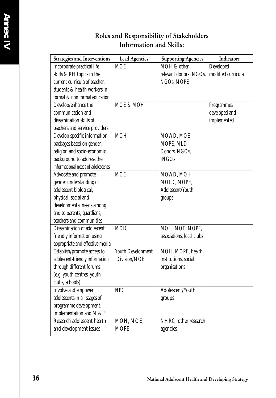#### **Roles and Responsibility of Stakeholders Information and Skills:**

| Strategies and Interventions       | <b>Lead Agencies</b> | <b>Supporting Agencies</b> | Indicators         |
|------------------------------------|----------------------|----------------------------|--------------------|
| Incorporate practical life         | <b>MOE</b>           | MOH & other                | Developed          |
| skills & RH topics in the          |                      | relevant donors INGOs,     | modified curricula |
| current curricula of teacher,      |                      | NGOs, MOPE                 |                    |
| students & health workers in       |                      |                            |                    |
| formal & non formal education      |                      |                            |                    |
| Develop/enhance the                | <b>MOE &amp; MOH</b> |                            | Programmes         |
| communication and                  |                      |                            | developed and      |
| dissemination skills of            |                      |                            | implemented        |
| teachers and service providers     |                      |                            |                    |
| Develop specific information       | <b>MOH</b>           | MOWD, MOE,                 |                    |
| packages based on gender,          |                      | MOPE, MLD,                 |                    |
| religion and socio-economic        |                      | Donors, NGOs,              |                    |
| background to address the          |                      | <b>INGOs</b>               |                    |
| informational needs of adolescents |                      |                            |                    |
| Advocate and promote               | <b>MOE</b>           | MOWD, MOH,                 |                    |
| gender understanding of            |                      | MOLD, MOPE,                |                    |
| adolescent biological,             |                      | Adolescent/Youth           |                    |
| physical, social and               |                      | groups                     |                    |
| developmental needs among          |                      |                            |                    |
| and to parents, guardians,         |                      |                            |                    |
| teachers and communities           |                      |                            |                    |
| Dissemination of adolescent        | <b>MOIC</b>          | MOH, MOE, MOPE,            |                    |
| friendly information using         |                      | associations, local clubs  |                    |
| appropriate and effective media    |                      |                            |                    |
| Establish/promote access to        | Youth Development    | MOH, MOPE, health          |                    |
| adolescent-friendly information    | Division/MOE         | institutions, social       |                    |
| through different forums           |                      | organisations              |                    |
| (e.g. youth centres, youth         |                      |                            |                    |
| clubs, schools)                    |                      |                            |                    |
| Involve and empower                | <b>NPC</b>           | Adolescent/Youth           |                    |
| adolescents in all stages of       |                      | groups                     |                    |
| programme development,             |                      |                            |                    |
| implementation and M & E           |                      |                            |                    |
| Research adolescent health         | MOH, MOE,            | NHRC, other research       |                    |
| and development issues             | <b>MOPE</b>          | agencies                   |                    |
|                                    |                      |                            |                    |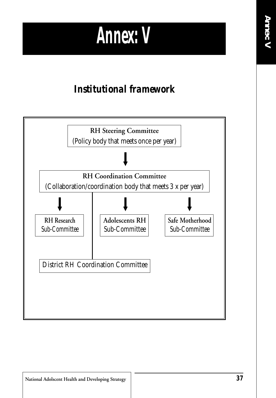### *Annex: V*

#### *Institutional framework*

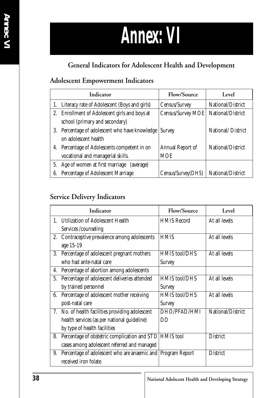# *Annex: VI*

#### **General Indicators for Adolescent Health and Development**

#### **Adolescent Empowerment Indicators**

|    | Indicator                                       | Flow/Source        | Level             |
|----|-------------------------------------------------|--------------------|-------------------|
|    | 1. Literacy rate of Adolescent (Boys and girls) | Census/Survey      | National/District |
| 2. | Enrollment of Adolescent girls and boys at      | Census/Survey MOE  | National/District |
|    | school (primary and secondary)                  |                    |                   |
| 3. | Percentage of adolescent who have knowledge     | <b>Survey</b>      | National/District |
|    | on adolescent health                            |                    |                   |
| 4. | Percentage of Adolescents competent in on       | Annual Report of   | National/District |
|    | vocational and managerial skills.               | <b>MOE</b>         |                   |
| 5. | Age of women at first marriage (average)        |                    |                   |
| 6. | Percentage of Adolescent Marriage               | Census/Survey(DHS) | National/District |

#### **Service Delivery Indicators**

|    | Indicator                                                   | Flow/Source          | Level             |
|----|-------------------------------------------------------------|----------------------|-------------------|
|    | 1. Utilization of Adolescent Health                         | <b>HMIS Record</b>   | At all levels     |
|    | Services /counseling                                        |                      |                   |
| 2. | Contraceptive prevalence among adolescents                  | <b>HMIS</b>          | At all levels     |
|    | age 15-19                                                   |                      |                   |
| 3. | Percentage of adolescent pregnant mothers                   | <b>HMIS tool/DHS</b> | At all levels     |
|    | who had ante-natal care                                     | <b>Survey</b>        |                   |
| 4. | Percentage of abortion among adolescents                    |                      |                   |
|    | 5. Percentage of adolescent deliveries attended             | <b>HMIS</b> tool/DHS | At all levels     |
|    | by trained personnel                                        | <b>Survey</b>        |                   |
| 6. | Percentage of adolescent mother receiving                   | <b>HMIS tool/DHS</b> | At all levels     |
|    | post-natal care                                             | Survey               |                   |
|    | 7. No. of health facilities providing adolescent            | DHO/PFAD/HMI         | National/District |
|    | health services (as per national guideline)                 | DD                   |                   |
|    | by type of health facilities                                |                      |                   |
| 8. | Percentage of obstetric complication and STD                | <b>HMIS</b> tool     | <b>District</b>   |
|    | cases among adolescent referred and managed                 |                      |                   |
| 9. | Percentage of adolescent who are anaemic and Program Report |                      | <b>District</b>   |
|    | received iron folate                                        |                      |                   |